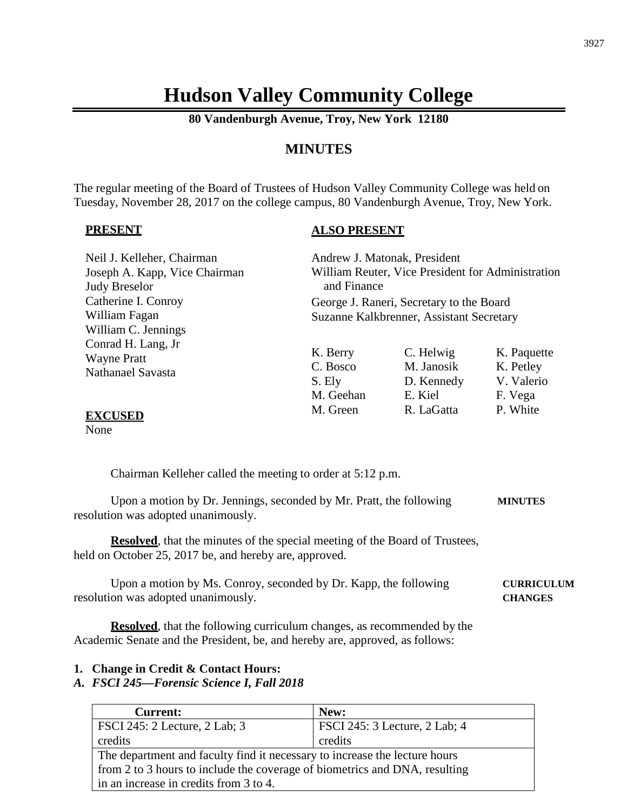# **Hudson Valley Community College**

**80 Vandenburgh Avenue, Troy, New York 12180**

# **MINUTES**

The regular meeting of the Board of Trustees of Hudson Valley Community College was held on Tuesday, November 28, 2017 on the college campus, 80 Vandenburgh Avenue, Troy, New York.

#### **PRESENT**

#### **ALSO PRESENT**

| Neil J. Kelleher, Chairman<br>Joseph A. Kapp, Vice Chairman |             | Andrew J. Matonak, President<br>William Reuter, Vice President for Administration |             |
|-------------------------------------------------------------|-------------|-----------------------------------------------------------------------------------|-------------|
| <b>Judy Breselor</b>                                        | and Finance |                                                                                   |             |
| Catherine I. Conroy                                         |             | George J. Raneri, Secretary to the Board                                          |             |
| William Fagan                                               |             | Suzanne Kalkbrenner, Assistant Secretary                                          |             |
| William C. Jennings                                         |             |                                                                                   |             |
| Conrad H. Lang, Jr                                          | K. Berry    | C. Helwig                                                                         | K. Paquette |
| <b>Wayne Pratt</b>                                          |             |                                                                                   |             |
| Nathanael Savasta                                           | C. Bosco    | M. Janosik                                                                        | K. Petley   |
|                                                             | S. Ely      | D. Kennedy                                                                        | V. Valerio  |
|                                                             | M. Geehan   | E. Kiel                                                                           | F. Vega     |
| FVAIRED                                                     | M. Green    | R. LaGatta                                                                        | P. White    |

#### **EXCUSED**

None

Chairman Kelleher called the meeting to order at 5:12 p.m.

Upon a motion by Dr. Jennings, seconded by Mr. Pratt, the following **MINUTES** resolution was adopted unanimously.

**Resolved**, that the minutes of the special meeting of the Board of Trustees, held on October 25, 2017 be, and hereby are, approved.

Upon a motion by Ms. Conroy, seconded by Dr. Kapp, the following **CURRICULUM** resolution was adopted unanimously. **CHANGES**

**Resolved**, that the following curriculum changes, as recommended by the Academic Senate and the President, be, and hereby are, approved, as follows:

#### **1. Change in Credit & Contact Hours:**

#### *A. FSCI 245—Forensic Science I, Fall 2018*

| <b>Current:</b>                                                            | New:                          |
|----------------------------------------------------------------------------|-------------------------------|
| FSCI 245: 2 Lecture, 2 Lab; 3                                              | FSCI 245: 3 Lecture, 2 Lab; 4 |
| credits                                                                    | credits                       |
| The department and faculty find it necessary to increase the lecture hours |                               |
| from 2 to 3 hours to include the coverage of biometrics and DNA, resulting |                               |
| in an increase in credits from 3 to 4.                                     |                               |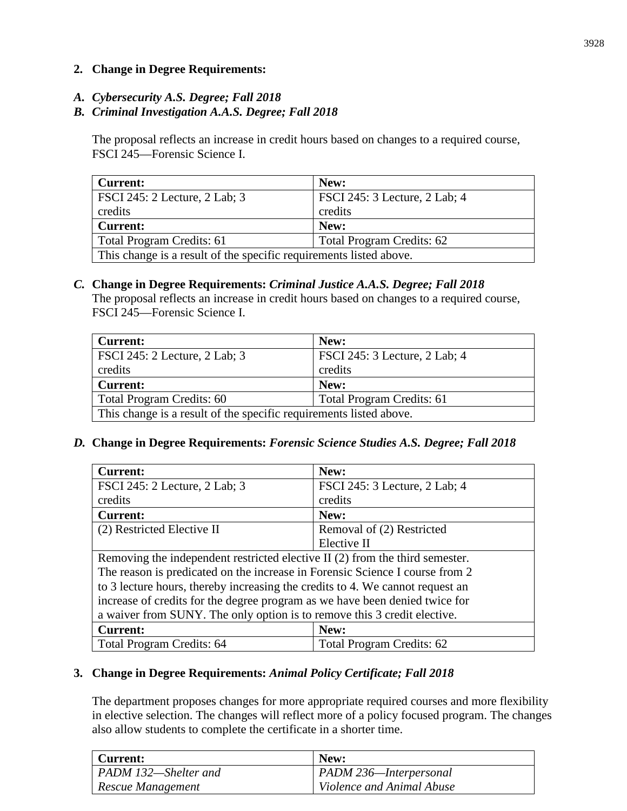# **2. Change in Degree Requirements:**

*A. Cybersecurity A.S. Degree; Fall 2018*

# *B. Criminal Investigation A.A.S. Degree; Fall 2018*

The proposal reflects an increase in credit hours based on changes to a required course, FSCI 245—Forensic Science I.

| <b>Current:</b>                                                    | New:                                 |
|--------------------------------------------------------------------|--------------------------------------|
| <b>FSCI</b> 245: 2 Lecture, 2 Lab; 3                               | <b>FSCI</b> 245: 3 Lecture, 2 Lab; 4 |
| credits                                                            | credits                              |
| <b>Current:</b>                                                    | New:                                 |
| Total Program Credits: 61                                          | <b>Total Program Credits: 62</b>     |
| This change is a result of the specific requirements listed above. |                                      |

# *C.* **Change in Degree Requirements:** *Criminal Justice A.A.S. Degree; Fall 2018*

The proposal reflects an increase in credit hours based on changes to a required course, FSCI 245—Forensic Science I.

| <b>Current:</b>                                                    | New:                             |
|--------------------------------------------------------------------|----------------------------------|
| FSCI 245: 2 Lecture, 2 Lab; 3                                      | FSCI 245: 3 Lecture, 2 Lab; 4    |
| credits                                                            | credits                          |
| Current:                                                           | New:                             |
| Total Program Credits: 60                                          | <b>Total Program Credits: 61</b> |
| This change is a result of the specific requirements listed above. |                                  |

# *D.* **Change in Degree Requirements:** *Forensic Science Studies A.S. Degree; Fall 2018*

| <b>Current:</b>                                                               | New:                             |
|-------------------------------------------------------------------------------|----------------------------------|
| FSCI 245: 2 Lecture, 2 Lab; 3                                                 | FSCI 245: 3 Lecture, 2 Lab; 4    |
| credits                                                                       | credits                          |
| <b>Current:</b>                                                               | New:                             |
| (2) Restricted Elective II                                                    | Removal of (2) Restricted        |
|                                                                               | Elective II                      |
| Removing the independent restricted elective II (2) from the third semester.  |                                  |
| The reason is predicated on the increase in Forensic Science I course from 2  |                                  |
| to 3 lecture hours, thereby increasing the credits to 4. We cannot request an |                                  |
| increase of credits for the degree program as we have been denied twice for   |                                  |
| a waiver from SUNY. The only option is to remove this 3 credit elective.      |                                  |
| <b>Current:</b>                                                               | New:                             |
| <b>Total Program Credits: 64</b>                                              | <b>Total Program Credits: 62</b> |

# **3. Change in Degree Requirements:** *Animal Policy Certificate; Fall 2018*

The department proposes changes for more appropriate required courses and more flexibility in elective selection. The changes will reflect more of a policy focused program. The changes also allow students to complete the certificate in a shorter time.

| Current:                    | New:                      |
|-----------------------------|---------------------------|
| <b>PADM 132—Shelter and</b> | PADM 236-Interpersonal    |
| Rescue Management           | Violence and Animal Abuse |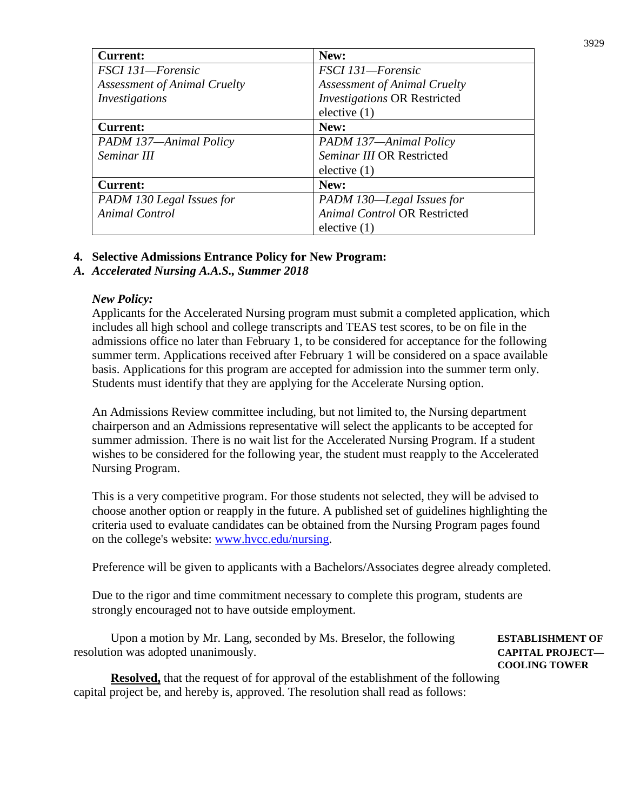| <b>Current:</b>                     | New:                                |
|-------------------------------------|-------------------------------------|
| FSCI 131-Forensic                   | FSCI 131-Forensic                   |
| <b>Assessment of Animal Cruelty</b> | <b>Assessment of Animal Cruelty</b> |
| Investigations                      | <b>Investigations OR Restricted</b> |
|                                     | elective $(1)$                      |
| <b>Current:</b>                     | New:                                |
| PADM 137-Animal Policy              | PADM 137-Animal Policy              |
| Seminar III                         | Seminar III OR Restricted           |
|                                     | elective $(1)$                      |
| <b>Current:</b>                     | New:                                |
| PADM 130 Legal Issues for           | PADM 130-Legal Issues for           |
| <b>Animal Control</b>               | <b>Animal Control OR Restricted</b> |
|                                     | elective $(1)$                      |

# **4. Selective Admissions Entrance Policy for New Program:**

# *A. Accelerated Nursing A.A.S., Summer 2018*

#### *New Policy:*

Applicants for the Accelerated Nursing program must submit a completed application, which includes all high school and college transcripts and TEAS test scores, to be on file in the admissions office no later than February 1, to be considered for acceptance for the following summer term. Applications received after February 1 will be considered on a space available basis. Applications for this program are accepted for admission into the summer term only. Students must identify that they are applying for the Accelerate Nursing option.

An Admissions Review committee including, but not limited to, the Nursing department chairperson and an Admissions representative will select the applicants to be accepted for summer admission. There is no wait list for the Accelerated Nursing Program. If a student wishes to be considered for the following year, the student must reapply to the Accelerated Nursing Program.

This is a very competitive program. For those students not selected, they will be advised to choose another option or reapply in the future. A published set of guidelines highlighting the criteria used to evaluate candidates can be obtained from the Nursing Program pages found on the college's website: [www.hvcc.edu/nursing.](http://www.hvcc.edu/nursing)

Preference will be given to applicants with a Bachelors/Associates degree already completed.

Due to the rigor and time commitment necessary to complete this program, students are strongly encouraged not to have outside employment.

Upon a motion by Mr. Lang, seconded by Ms. Breselor, the following **ESTABLISHMENT OF**  resolution was adopted unanimously. **CAPITAL PROJECT—**

**COOLING TOWER**

**Resolved,** that the request of for approval of the establishment of the following capital project be, and hereby is, approved. The resolution shall read as follows: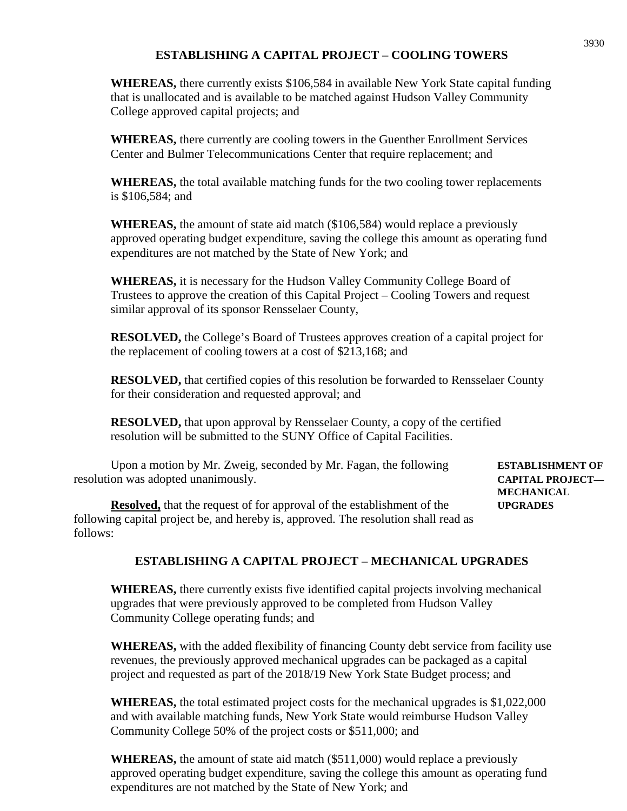# **ESTABLISHING A CAPITAL PROJECT – COOLING TOWERS**

**WHEREAS,** there currently exists \$106,584 in available New York State capital funding that is unallocated and is available to be matched against Hudson Valley Community College approved capital projects; and

**WHEREAS,** there currently are cooling towers in the Guenther Enrollment Services Center and Bulmer Telecommunications Center that require replacement; and

**WHEREAS,** the total available matching funds for the two cooling tower replacements is \$106,584; and

**WHEREAS,** the amount of state aid match (\$106,584) would replace a previously approved operating budget expenditure, saving the college this amount as operating fund expenditures are not matched by the State of New York; and

**WHEREAS,** it is necessary for the Hudson Valley Community College Board of Trustees to approve the creation of this Capital Project – Cooling Towers and request similar approval of its sponsor Rensselaer County,

**RESOLVED,** the College's Board of Trustees approves creation of a capital project for the replacement of cooling towers at a cost of \$213,168; and

**RESOLVED,** that certified copies of this resolution be forwarded to Rensselaer County for their consideration and requested approval; and

**RESOLVED,** that upon approval by Rensselaer County, a copy of the certified resolution will be submitted to the SUNY Office of Capital Facilities.

Upon a motion by Mr. Zweig, seconded by Mr. Fagan, the following **ESTABLISHMENT OF**  resolution was adopted unanimously. **CAPITAL PROJECT—**

**MECHANICAL** 

**Resolved,** that the request of for approval of the establishment of the **UPGRADES** following capital project be, and hereby is, approved. The resolution shall read as follows:

# **ESTABLISHING A CAPITAL PROJECT – MECHANICAL UPGRADES**

**WHEREAS,** there currently exists five identified capital projects involving mechanical upgrades that were previously approved to be completed from Hudson Valley Community College operating funds; and

**WHEREAS,** with the added flexibility of financing County debt service from facility use revenues, the previously approved mechanical upgrades can be packaged as a capital project and requested as part of the 2018/19 New York State Budget process; and

**WHEREAS,** the total estimated project costs for the mechanical upgrades is \$1,022,000 and with available matching funds, New York State would reimburse Hudson Valley Community College 50% of the project costs or \$511,000; and

**WHEREAS,** the amount of state aid match (\$511,000) would replace a previously approved operating budget expenditure, saving the college this amount as operating fund expenditures are not matched by the State of New York; and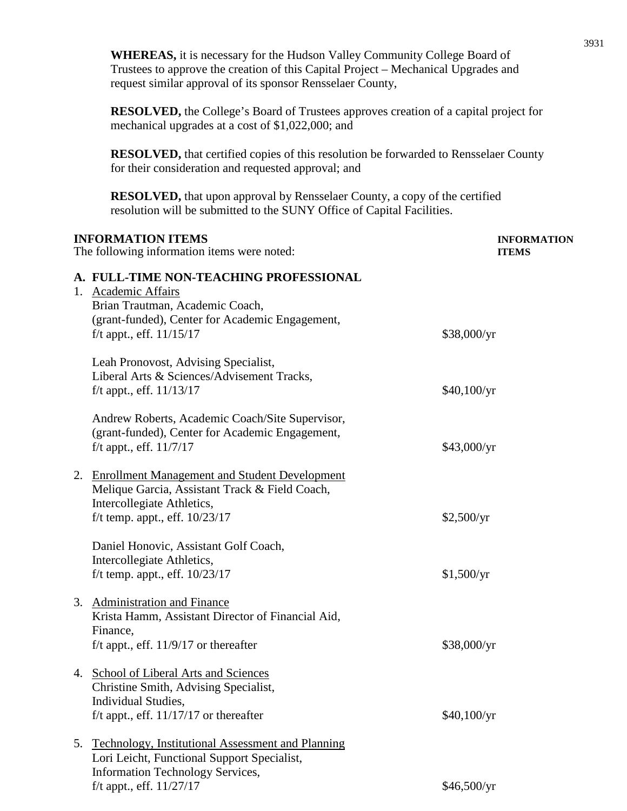**WHEREAS,** it is necessary for the Hudson Valley Community College Board of Trustees to approve the creation of this Capital Project – Mechanical Upgrades and request similar approval of its sponsor Rensselaer County,

**RESOLVED,** the College's Board of Trustees approves creation of a capital project for mechanical upgrades at a cost of \$1,022,000; and

**RESOLVED,** that certified copies of this resolution be forwarded to Rensselaer County for their consideration and requested approval; and

**RESOLVED,** that upon approval by Rensselaer County, a copy of the certified resolution will be submitted to the SUNY Office of Capital Facilities.

| <b>INFORMATION ITEMS</b><br>The following information items were noted:                                                                                                        | <b>INFORMATION</b><br><b>ITEMS</b> |
|--------------------------------------------------------------------------------------------------------------------------------------------------------------------------------|------------------------------------|
| A. FULL-TIME NON-TEACHING PROFESSIONAL<br>Academic Affairs<br>1.<br>Brian Trautman, Academic Coach,                                                                            |                                    |
| (grant-funded), Center for Academic Engagement,<br>f/t appt., eff. $11/15/17$                                                                                                  | \$38,000/yr                        |
| Leah Pronovost, Advising Specialist,<br>Liberal Arts & Sciences/Advisement Tracks,<br>f/t appt., eff. $11/13/17$                                                               | \$40,100/yr                        |
| Andrew Roberts, Academic Coach/Site Supervisor,<br>(grant-funded), Center for Academic Engagement,<br>f/t appt., eff. $11/7/17$                                                | \$43,000/yr                        |
| 2.<br><b>Enrollment Management and Student Development</b><br>Melique Garcia, Assistant Track & Field Coach,<br>Intercollegiate Athletics,<br>f/t temp. appt., eff. $10/23/17$ | \$2,500/yr                         |
| Daniel Honovic, Assistant Golf Coach,<br>Intercollegiate Athletics,<br>f/t temp. appt., eff. $10/23/17$                                                                        | \$1,500/yr                         |
| 3. Administration and Finance<br>Krista Hamm, Assistant Director of Financial Aid,<br>Finance,<br>f/t appt., eff. $11/9/17$ or thereafter                                      | \$38,000/yr                        |
| 4. School of Liberal Arts and Sciences<br>Christine Smith, Advising Specialist,<br>Individual Studies,                                                                         |                                    |
| f/t appt., eff. $11/17/17$ or thereafter<br><b>Technology, Institutional Assessment and Planning</b><br>5.                                                                     | \$40,100/yr                        |
| Lori Leicht, Functional Support Specialist,<br><b>Information Technology Services,</b>                                                                                         |                                    |
| f/t appt., eff. $11/27/17$                                                                                                                                                     | \$46,500/yr                        |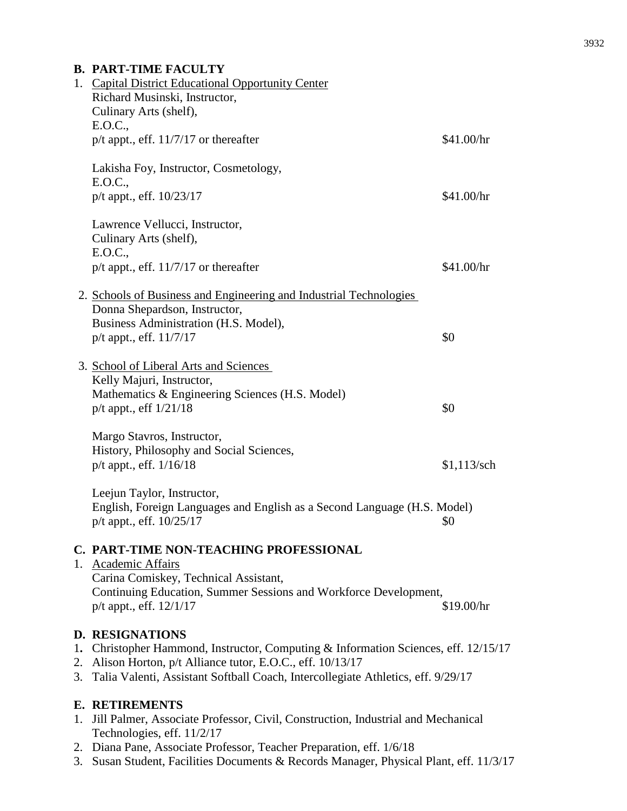# **B. PART-TIME FACULTY** 1. Capital District Educational Opportunity Center Richard Musinski, Instructor, Culinary Arts (shelf), E.O.C.,  $p/t$  appt., eff.  $11/7/17$  or thereafter \$41.00/hr Lakisha Foy, Instructor, Cosmetology,  $E.O.C.,$ p/t appt., eff. 10/23/17 \$41.00/hr Lawrence Vellucci, Instructor, Culinary Arts (shelf), E.O.C., p/t appt., eff.  $11/7/17$  or thereafter \$41.00/hr 2. Schools of Business and Engineering and Industrial Technologies Donna Shepardson, Instructor, Business Administration (H.S. Model),  $p/t$  appt., eff.  $11/7/17$  \$0 3. School of Liberal Arts and Sciences Kelly Majuri, Instructor, Mathematics & Engineering Sciences (H.S. Model)  $p/t$  appt., eff  $1/21/18$  \$0 Margo Stavros, Instructor, History, Philosophy and Social Sciences, p/t appt., eff. 1/16/18 \$1,113/sch Leejun Taylor, Instructor, English, Foreign Languages and English as a Second Language (H.S. Model)  $p/t$  appt., eff.  $10/25/17$  \$0 **C. PART-TIME NON-TEACHING PROFESSIONAL** 1. Academic Affairs Carina Comiskey, Technical Assistant, Continuing Education, Summer Sessions and Workforce Development, p/t appt., eff.  $12/1/17$  \$19.00/hr **D. RESIGNATIONS** 1**.** Christopher Hammond, Instructor, Computing & Information Sciences, eff. 12/15/17 2. Alison Horton, p/t Alliance tutor, E.O.C., eff. 10/13/17 3. Talia Valenti, Assistant Softball Coach, Intercollegiate Athletics, eff. 9/29/17

# **E. RETIREMENTS**

- 1. Jill Palmer, Associate Professor, Civil, Construction, Industrial and Mechanical Technologies, eff. 11/2/17
- 2. Diana Pane, Associate Professor, Teacher Preparation, eff. 1/6/18
- 3. Susan Student, Facilities Documents & Records Manager, Physical Plant, eff. 11/3/17